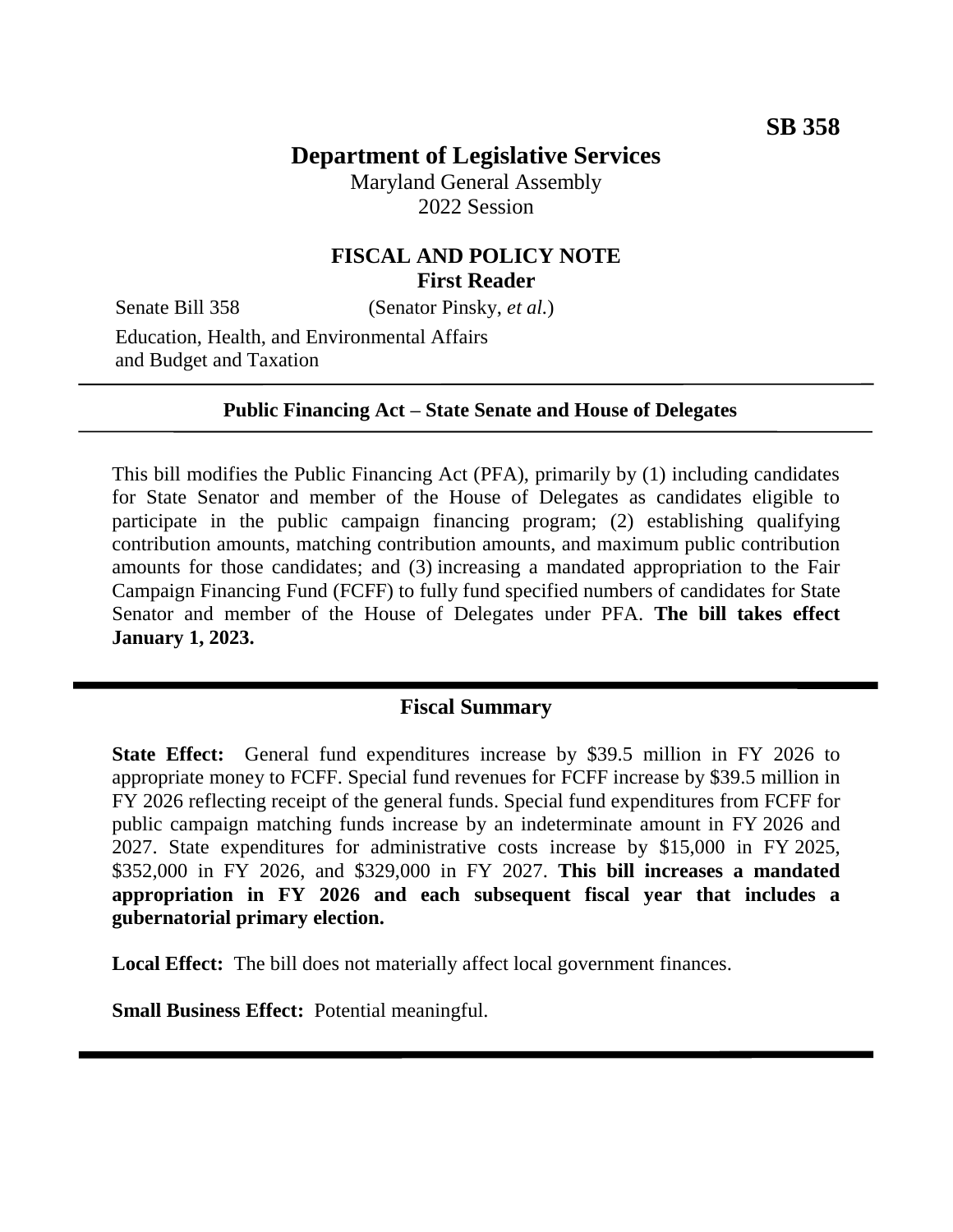# **Department of Legislative Services**

Maryland General Assembly 2022 Session

# **FISCAL AND POLICY NOTE First Reader**

Senate Bill 358 (Senator Pinsky, *et al.*)

Education, Health, and Environmental Affairs and Budget and Taxation

#### **Public Financing Act – State Senate and House of Delegates**

This bill modifies the Public Financing Act (PFA), primarily by (1) including candidates for State Senator and member of the House of Delegates as candidates eligible to participate in the public campaign financing program; (2) establishing qualifying contribution amounts, matching contribution amounts, and maximum public contribution amounts for those candidates; and (3) increasing a mandated appropriation to the Fair Campaign Financing Fund (FCFF) to fully fund specified numbers of candidates for State Senator and member of the House of Delegates under PFA. **The bill takes effect January 1, 2023.** 

# **Fiscal Summary**

**State Effect:** General fund expenditures increase by \$39.5 million in FY 2026 to appropriate money to FCFF. Special fund revenues for FCFF increase by \$39.5 million in FY 2026 reflecting receipt of the general funds. Special fund expenditures from FCFF for public campaign matching funds increase by an indeterminate amount in FY 2026 and 2027. State expenditures for administrative costs increase by \$15,000 in FY 2025, \$352,000 in FY 2026, and \$329,000 in FY 2027. **This bill increases a mandated appropriation in FY 2026 and each subsequent fiscal year that includes a gubernatorial primary election.**

**Local Effect:** The bill does not materially affect local government finances.

**Small Business Effect:** Potential meaningful.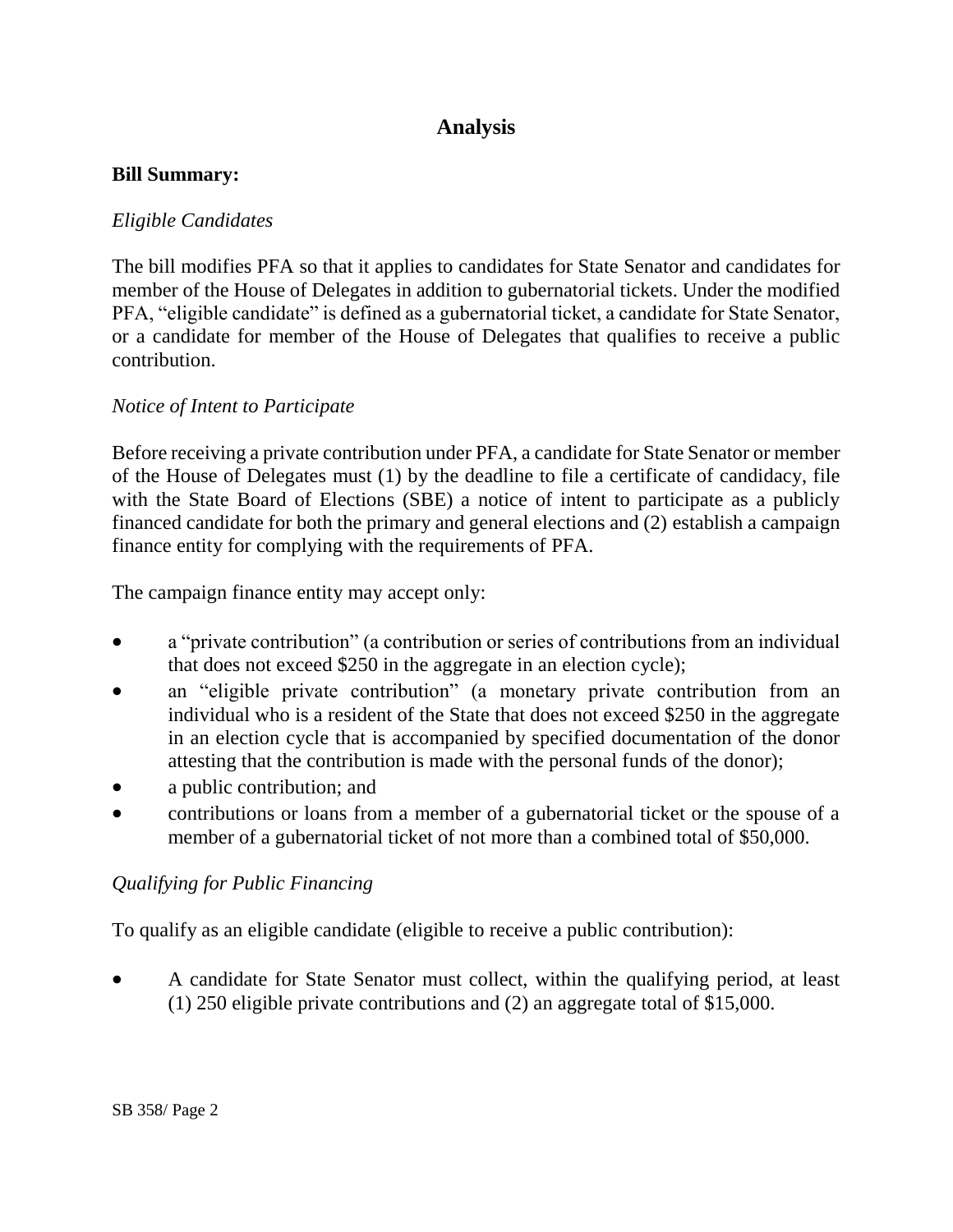# **Analysis**

### **Bill Summary:**

## *Eligible Candidates*

The bill modifies PFA so that it applies to candidates for State Senator and candidates for member of the House of Delegates in addition to gubernatorial tickets. Under the modified PFA, "eligible candidate" is defined as a gubernatorial ticket, a candidate for State Senator, or a candidate for member of the House of Delegates that qualifies to receive a public contribution.

## *Notice of Intent to Participate*

Before receiving a private contribution under PFA, a candidate for State Senator or member of the House of Delegates must (1) by the deadline to file a certificate of candidacy, file with the State Board of Elections (SBE) a notice of intent to participate as a publicly financed candidate for both the primary and general elections and (2) establish a campaign finance entity for complying with the requirements of PFA.

The campaign finance entity may accept only:

- a "private contribution" (a contribution or series of contributions from an individual that does not exceed \$250 in the aggregate in an election cycle);
- an "eligible private contribution" (a monetary private contribution from an individual who is a resident of the State that does not exceed \$250 in the aggregate in an election cycle that is accompanied by specified documentation of the donor attesting that the contribution is made with the personal funds of the donor);
- a public contribution; and
- contributions or loans from a member of a gubernatorial ticket or the spouse of a member of a gubernatorial ticket of not more than a combined total of \$50,000.

## *Qualifying for Public Financing*

To qualify as an eligible candidate (eligible to receive a public contribution):

 A candidate for State Senator must collect, within the qualifying period, at least (1) 250 eligible private contributions and (2) an aggregate total of \$15,000.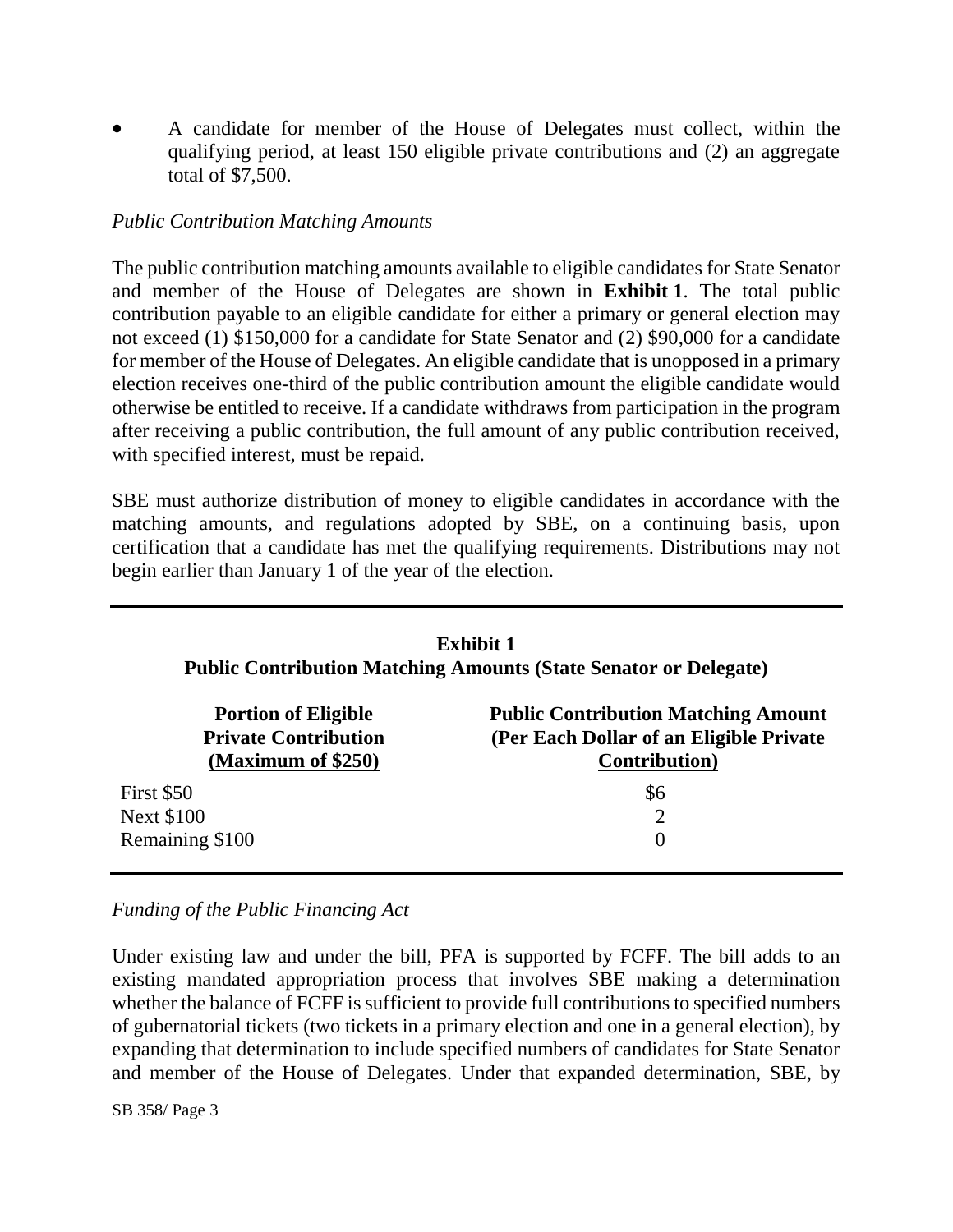A candidate for member of the House of Delegates must collect, within the qualifying period, at least 150 eligible private contributions and (2) an aggregate total of \$7,500.

## *Public Contribution Matching Amounts*

The public contribution matching amounts available to eligible candidates for State Senator and member of the House of Delegates are shown in **Exhibit 1**. The total public contribution payable to an eligible candidate for either a primary or general election may not exceed (1) \$150,000 for a candidate for State Senator and (2) \$90,000 for a candidate for member of the House of Delegates. An eligible candidate that is unopposed in a primary election receives one-third of the public contribution amount the eligible candidate would otherwise be entitled to receive. If a candidate withdraws from participation in the program after receiving a public contribution, the full amount of any public contribution received, with specified interest, must be repaid.

SBE must authorize distribution of money to eligible candidates in accordance with the matching amounts, and regulations adopted by SBE, on a continuing basis, upon certification that a candidate has met the qualifying requirements. Distributions may not begin earlier than January 1 of the year of the election.

| <b>Exhibit 1</b><br><b>Public Contribution Matching Amounts (State Senator or Delegate)</b> |                                            |
|---------------------------------------------------------------------------------------------|--------------------------------------------|
| <b>Portion of Eligible</b>                                                                  | <b>Public Contribution Matching Amount</b> |
| <b>Private Contribution</b>                                                                 | (Per Each Dollar of an Eligible Private    |
| (Maximum of \$250)                                                                          | <b>Contribution</b> )                      |
| First \$50                                                                                  | \$6                                        |
| <b>Next \$100</b>                                                                           | $\overline{2}$                             |
| Remaining \$100                                                                             | $\left( \right)$                           |

#### *Funding of the Public Financing Act*

Under existing law and under the bill, PFA is supported by FCFF. The bill adds to an existing mandated appropriation process that involves SBE making a determination whether the balance of FCFF is sufficient to provide full contributions to specified numbers of gubernatorial tickets (two tickets in a primary election and one in a general election), by expanding that determination to include specified numbers of candidates for State Senator and member of the House of Delegates. Under that expanded determination, SBE, by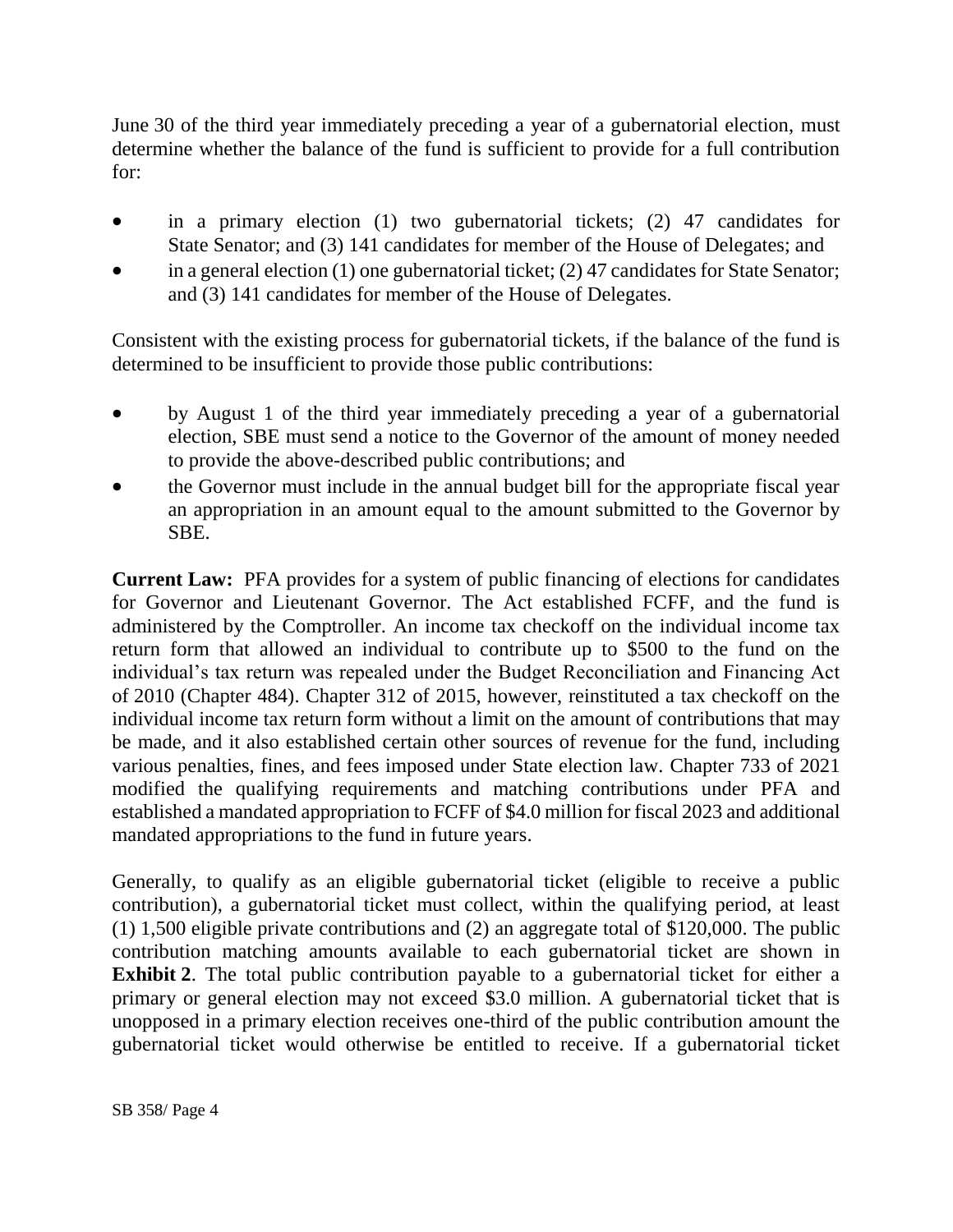June 30 of the third year immediately preceding a year of a gubernatorial election, must determine whether the balance of the fund is sufficient to provide for a full contribution for:

- in a primary election (1) two gubernatorial tickets; (2) 47 candidates for State Senator; and (3) 141 candidates for member of the House of Delegates; and
- in a general election (1) one gubernatorial ticket; (2) 47 candidates for State Senator; and (3) 141 candidates for member of the House of Delegates.

Consistent with the existing process for gubernatorial tickets, if the balance of the fund is determined to be insufficient to provide those public contributions:

- by August 1 of the third year immediately preceding a year of a gubernatorial election, SBE must send a notice to the Governor of the amount of money needed to provide the above-described public contributions; and
- the Governor must include in the annual budget bill for the appropriate fiscal year an appropriation in an amount equal to the amount submitted to the Governor by SBE.

**Current Law:** PFA provides for a system of public financing of elections for candidates for Governor and Lieutenant Governor. The Act established FCFF, and the fund is administered by the Comptroller. An income tax checkoff on the individual income tax return form that allowed an individual to contribute up to \$500 to the fund on the individual's tax return was repealed under the Budget Reconciliation and Financing Act of 2010 (Chapter 484). Chapter 312 of 2015, however, reinstituted a tax checkoff on the individual income tax return form without a limit on the amount of contributions that may be made, and it also established certain other sources of revenue for the fund, including various penalties, fines, and fees imposed under State election law. Chapter 733 of 2021 modified the qualifying requirements and matching contributions under PFA and established a mandated appropriation to FCFF of \$4.0 million for fiscal 2023 and additional mandated appropriations to the fund in future years.

Generally, to qualify as an eligible gubernatorial ticket (eligible to receive a public contribution), a gubernatorial ticket must collect, within the qualifying period, at least (1) 1,500 eligible private contributions and (2) an aggregate total of \$120,000. The public contribution matching amounts available to each gubernatorial ticket are shown in **Exhibit 2**. The total public contribution payable to a gubernatorial ticket for either a primary or general election may not exceed \$3.0 million. A gubernatorial ticket that is unopposed in a primary election receives one-third of the public contribution amount the gubernatorial ticket would otherwise be entitled to receive. If a gubernatorial ticket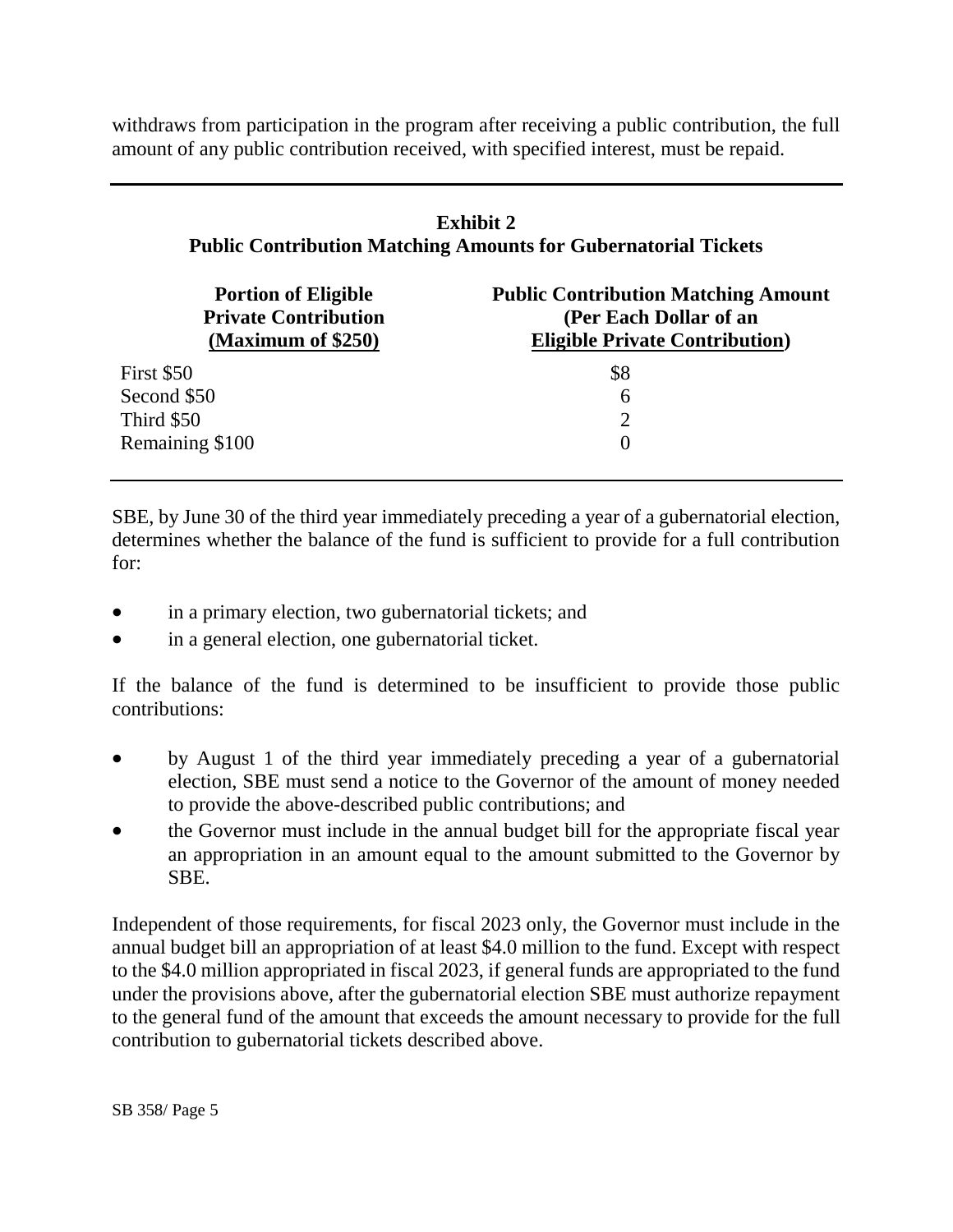withdraws from participation in the program after receiving a public contribution, the full amount of any public contribution received, with specified interest, must be repaid.

| <b>Exhibit 2</b><br><b>Public Contribution Matching Amounts for Gubernatorial Tickets</b> |                                                                                                                |
|-------------------------------------------------------------------------------------------|----------------------------------------------------------------------------------------------------------------|
| <b>Portion of Eligible</b><br><b>Private Contribution</b><br>(Maximum of \$250)           | <b>Public Contribution Matching Amount</b><br>(Per Each Dollar of an<br><b>Eligible Private Contribution</b> ) |
| First \$50                                                                                | \$8                                                                                                            |
| Second \$50                                                                               | 6                                                                                                              |
| Third \$50                                                                                |                                                                                                                |

SBE, by June 30 of the third year immediately preceding a year of a gubernatorial election, determines whether the balance of the fund is sufficient to provide for a full contribution for:

in a primary election, two gubernatorial tickets; and

Remaining \$100 0

• in a general election, one gubernatorial ticket.

If the balance of the fund is determined to be insufficient to provide those public contributions:

- by August 1 of the third year immediately preceding a year of a gubernatorial election, SBE must send a notice to the Governor of the amount of money needed to provide the above-described public contributions; and
- the Governor must include in the annual budget bill for the appropriate fiscal year an appropriation in an amount equal to the amount submitted to the Governor by SBE.

Independent of those requirements, for fiscal 2023 only, the Governor must include in the annual budget bill an appropriation of at least \$4.0 million to the fund. Except with respect to the \$4.0 million appropriated in fiscal 2023, if general funds are appropriated to the fund under the provisions above, after the gubernatorial election SBE must authorize repayment to the general fund of the amount that exceeds the amount necessary to provide for the full contribution to gubernatorial tickets described above.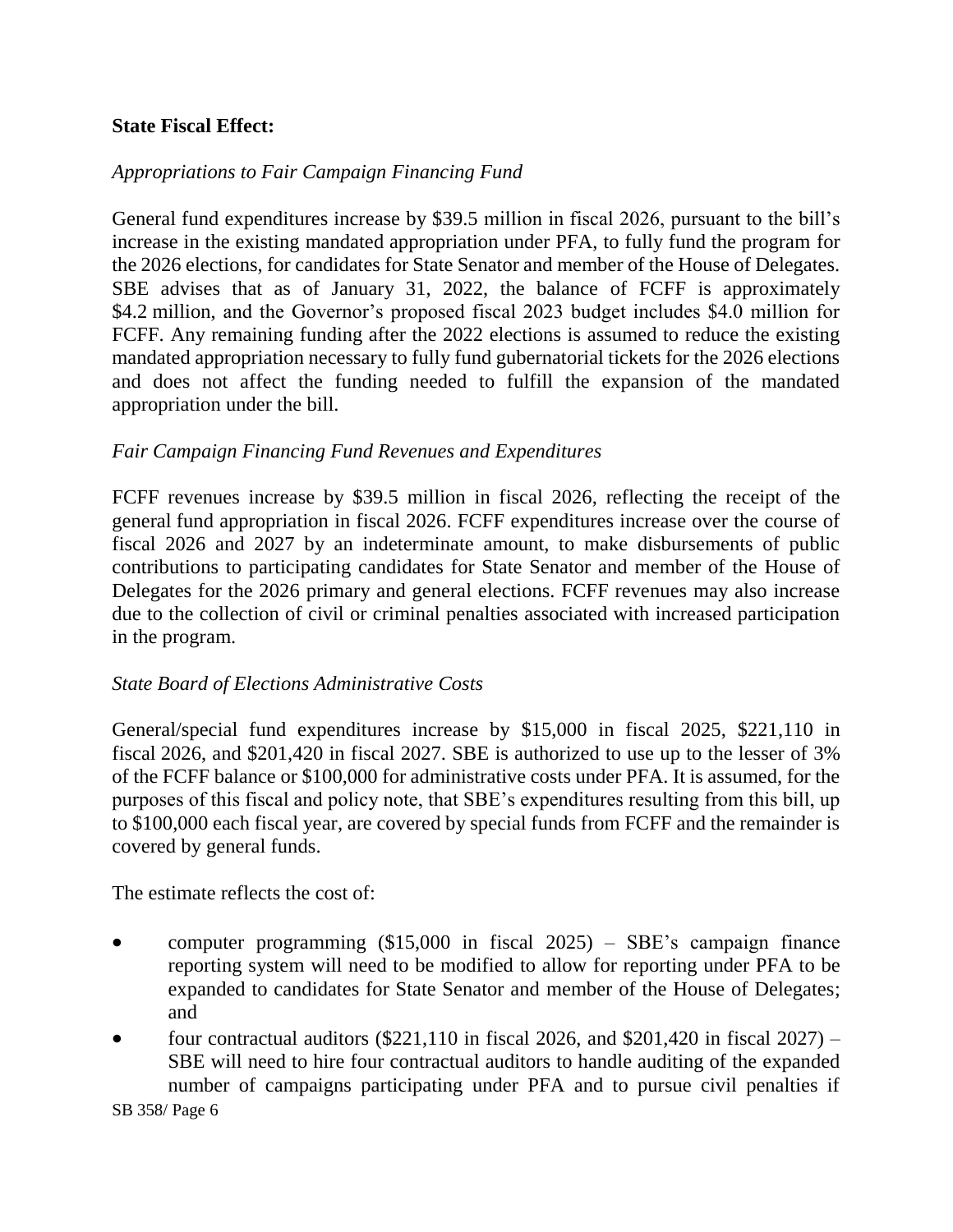## **State Fiscal Effect:**

## *Appropriations to Fair Campaign Financing Fund*

General fund expenditures increase by \$39.5 million in fiscal 2026, pursuant to the bill's increase in the existing mandated appropriation under PFA, to fully fund the program for the 2026 elections, for candidates for State Senator and member of the House of Delegates. SBE advises that as of January 31, 2022, the balance of FCFF is approximately \$4.2 million, and the Governor's proposed fiscal 2023 budget includes \$4.0 million for FCFF. Any remaining funding after the 2022 elections is assumed to reduce the existing mandated appropriation necessary to fully fund gubernatorial tickets for the 2026 elections and does not affect the funding needed to fulfill the expansion of the mandated appropriation under the bill.

#### *Fair Campaign Financing Fund Revenues and Expenditures*

FCFF revenues increase by \$39.5 million in fiscal 2026, reflecting the receipt of the general fund appropriation in fiscal 2026. FCFF expenditures increase over the course of fiscal 2026 and 2027 by an indeterminate amount, to make disbursements of public contributions to participating candidates for State Senator and member of the House of Delegates for the 2026 primary and general elections. FCFF revenues may also increase due to the collection of civil or criminal penalties associated with increased participation in the program.

#### *State Board of Elections Administrative Costs*

General/special fund expenditures increase by \$15,000 in fiscal 2025, \$221,110 in fiscal 2026, and \$201,420 in fiscal 2027. SBE is authorized to use up to the lesser of 3% of the FCFF balance or \$100,000 for administrative costs under PFA. It is assumed, for the purposes of this fiscal and policy note, that SBE's expenditures resulting from this bill, up to \$100,000 each fiscal year, are covered by special funds from FCFF and the remainder is covered by general funds.

The estimate reflects the cost of:

- computer programming (\$15,000 in fiscal 2025) SBE's campaign finance reporting system will need to be modified to allow for reporting under PFA to be expanded to candidates for State Senator and member of the House of Delegates; and
- four contractual auditors (\$221,110 in fiscal 2026, and \$201,420 in fiscal 2027) SBE will need to hire four contractual auditors to handle auditing of the expanded number of campaigns participating under PFA and to pursue civil penalties if

SB 358/ Page 6